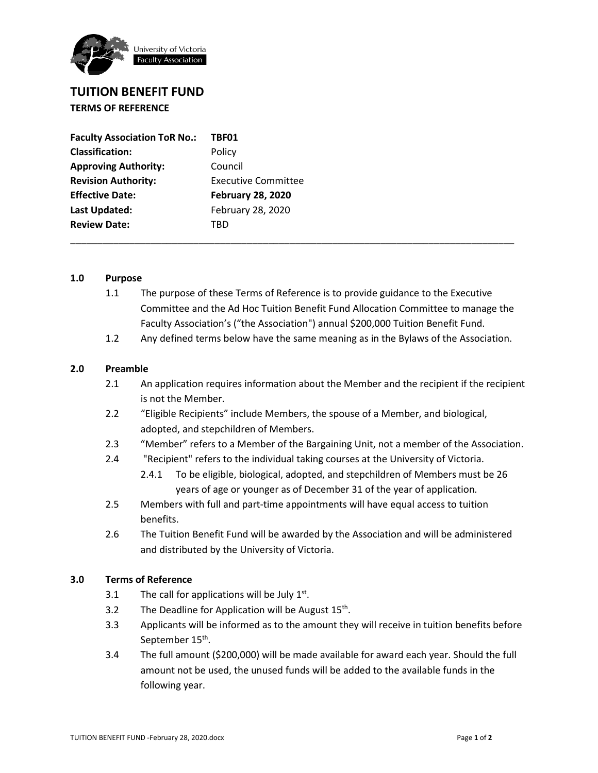

## **TUITION BENEFIT FUND TERMS OF REFERENCE**

| <b>Faculty Association ToR No.:</b> | TBF01                      |
|-------------------------------------|----------------------------|
| <b>Classification:</b>              | Policy                     |
| <b>Approving Authority:</b>         | Council                    |
| <b>Revision Authority:</b>          | <b>Executive Committee</b> |
| <b>Effective Date:</b>              | <b>February 28, 2020</b>   |
| Last Updated:                       | February 28, 2020          |
| <b>Review Date:</b>                 | TRD                        |

## **1.0 Purpose**

1.1 The purpose of these Terms of Reference is to provide guidance to the Executive Committee and the Ad Hoc Tuition Benefit Fund Allocation Committee to manage the Faculty Association's ("the Association") annual \$200,000 Tuition Benefit Fund.

\_\_\_\_\_\_\_\_\_\_\_\_\_\_\_\_\_\_\_\_\_\_\_\_\_\_\_\_\_\_\_\_\_\_\_\_\_\_\_\_\_\_\_\_\_\_\_\_\_\_\_\_\_\_\_\_\_\_\_\_\_\_\_\_\_\_\_\_\_\_\_\_\_\_\_\_\_\_\_\_\_\_\_

1.2 Any defined terms below have the same meaning as in the Bylaws of the Association.

## **2.0 Preamble**

- 2.1 An application requires information about the Member and the recipient if the recipient is not the Member.
- 2.2 "Eligible Recipients" include Members, the spouse of a Member, and biological, adopted, and stepchildren of Members.
- 2.3 "Member" refers to a Member of the Bargaining Unit, not a member of the Association.
- 2.4 "Recipient" refers to the individual taking courses at the University of Victoria.
	- 2.4.1 To be eligible, biological, adopted, and stepchildren of Members must be 26 years of age or younger as of December 31 of the year of application*.*
- 2.5 Members with full and part-time appointments will have equal access to tuition benefits.
- 2.6 The Tuition Benefit Fund will be awarded by the Association and will be administered and distributed by the University of Victoria.

## **3.0 Terms of Reference**

- 3.1 The call for applications will be July  $1<sup>st</sup>$ .
- 3.2 The Deadline for Application will be August  $15<sup>th</sup>$ .
- 3.3 Applicants will be informed as to the amount they will receive in tuition benefits before September 15<sup>th</sup>.
- 3.4 The full amount (\$200,000) will be made available for award each year. Should the full amount not be used, the unused funds will be added to the available funds in the following year.